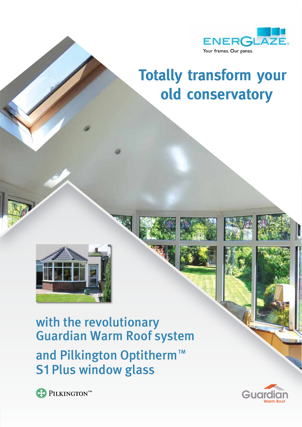

# **Totally transform your old conservatory**



with the revolutionary Guardian Warm Roof system and Pilkington Optitherm™ **S1 Plus window glass** 



PILKINGTONT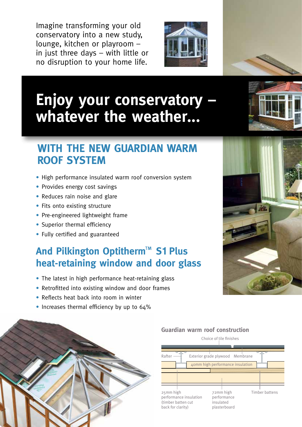Imagine transforming your old conservatory into a new study, lounge, kitchen or playroom – in just three days – with little or no disruption to your home life.



# **Enjoy your conservatory – whatever the weather...**

## **WITH THE NEW GUARDIAN WARM ROOF SYSTEM**

- High performance insulated warm roof conversion system
- Provides energy cost savings
- Reduces rain noise and glare
- Fits onto existing structure
- Pre-engineered lightweight frame
- Superior thermal efficiency
- • Fully certified and guaranteed

## **And Pilkington Optitherm™ S1 Plus heat-retaining window and door glass**

- The latest in high performance heat-retaining glass
- Retrofitted into existing window and door frames
- Reflects heat back into room in winter
- Increases thermal efficiency by up to 64%



#### 72mm high Timber battens performance insulated plasterboard Rafter — Exterior grade plywood Membrane 40mm high performance insulation 25mm high performance insulation (timber batten cut back for clarity)

#### **Guardian warm roof construction**





Choice of tile finishes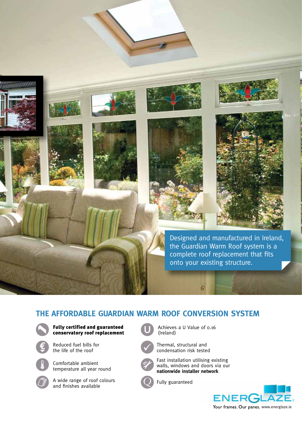

### **THE AFFORDABLE GUARDIAN WARM ROOF CONVERSION SYSTEM**



Fully certified and guaranteed conservatory roof replacement



Reduced fuel bills for the life of the roof

Comfortable ambient temperature all year round

A wide range of roof colours and finishes available

Achieves a U Value of 0.16 (Ireland)



Thermal, structural and condensation risk tested



Fast installation utilising existing walls, windows and doors via our **nationwide installer network**

Fully guaranteed

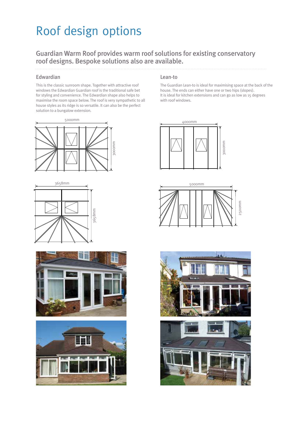## Roof design options

#### Guardian Warm Roof provides warm roof solutions for existing conservatory roof designs. Bespoke solutions also are available.

#### Edwardian

This is the classic sunroom shape. Together with attractive roof windows the Edwardian Guardian roof is the traditional safe bet for styling and convenience. The Edwardian shape also helps to maximise the room space below. The roof is very sympathetic to all house styles as its ridge is so versatile. It can also be the perfect solution to a bungalow extension.









#### Lean-to

The Guardian Lean-to is ideal for maximising space at the back of the house. The ends can either have one or two hips (slopes). It is ideal for kitchen extensions and can go as low as 15 degrees with roof windows.





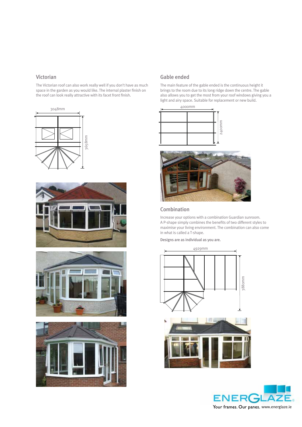#### Victorian

The Victorian roof can also work really well if you don't have as much space in the garden as you would like. The internal plaster finish on the roof can look really attractive with its facet front finish.









#### Gable ended

The main feature of the gable ended is the continuous height it brings to the room due to its long ridge down the centre. The gable also allows you to get the most from your roof windows giving you a light and airy space. Suitable for replacement or new build.







#### Combination

Increase your options with a combination Guardian sunroom. A P-shape simply combines the benefits of two different styles to maximise your living environment. The combination can also come in what is called a T-shape.

Designs are as individual as you are.



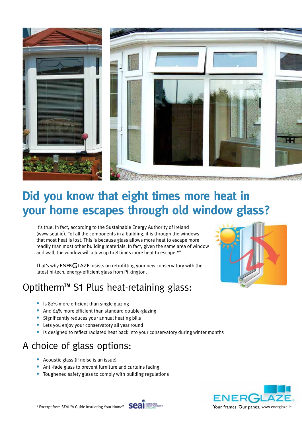

## **Did you know that eight times more heat in your home escapes through old window glass?**

It's true. In fact, according to the Sustainable Energy Authority of Ireland (www.seai.ie), "of all the components in a building, it is through the windows that most heat is lost. This is because glass allows more heat to escape more readily than most other building materials. In fact, given the same area of window and wall, the window will allow up to 8 times more heat to escape.\*"

That's why ENER GLAZE insists on retrofitting your new conservatory with the latest hi-tech, energy-efficient glass from Pilkington.

### Optitherm<sup>™</sup> S1 Plus heat-retaining glass:

- Is 82% more efficient than single glazing
- And 64% more efficient than standard double-glazing
- Significantly reduces your annual heating bills
- Lets you enjoy your conservatory all year round
- Is designed to reflect radiated heat back into your conservatory during winter months

### A choice of glass options:

- Acoustic glass (if noise is an issue)
- Anti-fade glass to prevent furniture and curtains fading
- Toughened safety glass to comply with building regulations





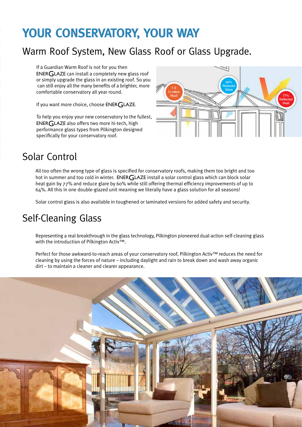## **YOUR CONSERVATORY, YOUR WAY**

## Warm Roof System, New Glass Roof or Glass Upgrade.

If a Guardian Warm Roof is not for you then  $ENERGLAZE$  can install a completely new glass roof or simply upgrade the glass in an existing roof. So you can still enjoy all the many benefits of a brighter, more comfortable conservatory all year round.

If you want more choice, choose ENER GLAZE.

To help you enjoy your new conservatory to the fullest, ENERGLAZE also offers two more hi-tech, high performance glass types from Pilkington designed specifically for your conservatory roof.



### Solar Control

All too often the wrong type of glass is specified for conservatory roofs, making them too bright and too hot in summer and too cold in winter. ENERGLAZE install a solar control glass which can block solar heat gain by 77% and reduce glare by 60% while still offering thermal efficiency improvements of up to 64%. All this in one double-glazed unit meaning we literally have a glass solution for all seasons!

Solar control glass is also available in toughened or laminated versions for added safety and security.

## Self-Cleaning Glass

Representing a real breakthrough in the glass technology, Pilkington pioneered dual-action self-cleaning glass with the introduction of Pilkington Activ™.

Perfect for those awkward-to-reach areas of your conservatory roof, Pilkington Activ™ reduces the need for cleaning by using the forces of nature – including daylight and rain to break down and wash away organic dirt – to maintain a cleaner and clearer appearance.